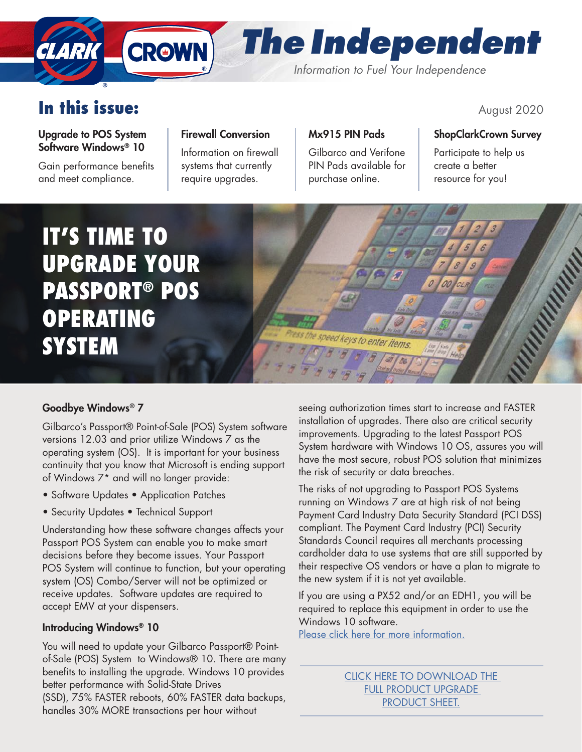# *The Independent Information to Fuel Your Independence*

# In this issue:  $\frac{1}{2020}$

CLARK

### Upgrade to POS System Software Windows® 10

Gain performance benefits and meet compliance.

## Firewall Conversion

**CROWN** 

Information on firewall systems that currently require upgrades.

## Mx915 PIN Pads

Gilbarco and Verifone PIN Pads available for purchase online.

## ShopClarkCrown Survey

Participate to help us create a better resource for you!

IT'S TIME TO UPGRADE YOUR PASSPORT® POS OPERATING **SYSTEM** 



## Goodbye Windows® 7

Gilbarco's Passport® Point-of-Sale (POS) System software versions 12.03 and prior utilize Windows 7 as the operating system (OS). It is important for your business continuity that you know that Microsoft is ending support of Windows 7\* and will no longer provide:

- Software Updates Application Patches
- Security Updates Technical Support

Understanding how these software changes affects your Passport POS System can enable you to make smart decisions before they become issues. Your Passport POS System will continue to function, but your operating system (OS) Combo/Server will not be optimized or receive updates. Software updates are required to accept EMV at your dispensers.

## Introducing Windows® 10

You will need to update your Gilbarco Passport® Pointof-Sale (POS) System to Windows® 10. There are many benefits to installing the upgrade. Windows 10 provides better performance with Solid-State Drives (SSD), 75% FASTER reboots, 60% FASTER data backups, handles 30% MORE transactions per hour without

seeing authorization times start to increase and FASTER installation of upgrades. There also are critical security improvements. Upgrading to the latest Passport POS System hardware with Windows 10 OS, assures you will have the most secure, robust POS solution that minimizes the risk of security or data breaches.

The risks of not upgrading to Passport POS Systems running on Windows 7 are at high risk of not being Payment Card Industry Data Security Standard (PCI DSS) compliant. The Payment Card Industry (PCI) Security Standards Council requires all merchants processing cardholder data to use systems that are still supported by their respective OS vendors or have a plan to migrate to the new system if it is not yet available.

If you are using a PX52 and/or an EDH1, you will be required to replace this equipment in order to use the Windows 10 software.

[Please click here for more information.](http://www.clarkbrands.com/wp-content/uploads/2020/08/Windows-10-CLARK-CROWN.pdf)

[CLICK HERE TO DOWNLOAD THE](www.clarkbrands.com/wp-content/uploads/2020/08/Windows-10-CLARK-CROWN.pdf)  [FULL PRODUCT UPGRADE](www.clarkbrands.com/wp-content/uploads/2020/08/Windows-10-CLARK-CROWN.pdf)  [PRODUCT SHEET.](www.clarkbrands.com/wp-content/uploads/2020/08/Windows-10-CLARK-CROWN.pdf)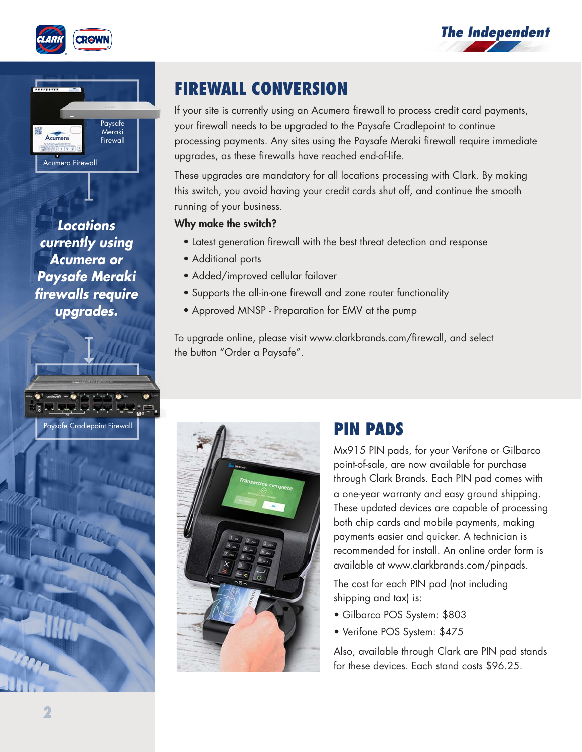





*Locations currently using Acumera or Paysafe Meraki firewalls require upgrades.*

Paysafe Cradlepoint Firewall

 $\eta_{i}$ 



If your site is currently using an Acumera firewall to process credit card payments, your firewall needs to be upgraded to the Paysafe Cradlepoint to continue processing payments. Any sites using the Paysafe Meraki firewall require immediate upgrades, as these firewalls have reached end-of-life.

These upgrades are mandatory for all locations processing with Clark. By making this switch, you avoid having your credit cards shut off, and continue the smooth running of your business.

#### Why make the switch?

- Latest generation firewall with the best threat detection and response
- Additional ports
- Added/improved cellular failover
- Supports the all-in-one firewall and zone router functionality
- Approved MNSP Preparation for EMV at the pump

To upgrade online, please visit www.clarkbrands.com/firewall, and select the button "Order a Paysafe".



## PIN PADS

Mx915 PIN pads, for your Verifone or Gilbarco point-of-sale, are now available for purchase through Clark Brands. Each PIN pad comes with a one-year warranty and easy ground shipping. These updated devices are capable of processing both chip cards and mobile payments, making payments easier and quicker. A technician is recommended for install. An online order form is available at www.clarkbrands.com/pinpads.

The cost for each PIN pad (not including shipping and tax) is:

- Gilbarco POS System: \$803
- Verifone POS System: \$475

Also, available through Clark are PIN pad stands for these devices. Each stand costs \$96.25.